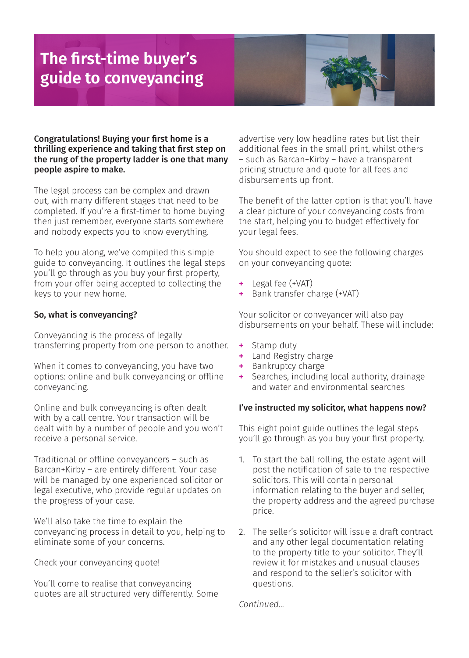# **The first-time buyer's guide to conveyancing**



Congratulations! Buying your first home is a thrilling experience and taking that first step on the rung of the property ladder is one that many people aspire to make.

The legal process can be complex and drawn out, with many different stages that need to be completed. If you're a first-timer to home buying then just remember, everyone starts somewhere and nobody expects you to know everything.

To help you along, we've compiled this simple guide to conveyancing. It outlines the legal steps you'll go through as you buy your first property, from your offer being accepted to collecting the keys to your new home.

## So, what is conveyancing?

Conveyancing is the process of legally transferring property from one person to another.

When it comes to conveyancing, you have two options: online and bulk conveyancing or offline conveyancing.

Online and bulk conveyancing is often dealt with by a call centre. Your transaction will be dealt with by a number of people and you won't receive a personal service.

Traditional or offline conveyancers – such as Barcan+Kirby – are entirely different. Your case will be managed by one experienced solicitor or legal executive, who provide regular updates on the progress of your case.

We'll also take the time to explain the conveyancing process in detail to you, helping to eliminate some of your concerns.

Check your conveyancing quote!

You'll come to realise that conveyancing quotes are all structured very differently. Some advertise very low headline rates but list their additional fees in the small print, whilst others – such as Barcan+Kirby – have a transparent pricing structure and quote for all fees and disbursements up front.

The benefit of the latter option is that you'll have a clear picture of your conveyancing costs from the start, helping you to budget effectively for your legal fees.

You should expect to see the following charges on your conveyancing quote:

- **+** Legal fee (+VAT)
- **+** Bank transfer charge (+VAT)

Your solicitor or conveyancer will also pay disbursements on your behalf. These will include:

- **+** Stamp duty
- **+** Land Registry charge
- **+** Bankruptcy charge
- Searches, including local authority, drainage and water and environmental searches

## I've instructed my solicitor, what happens now?

This eight point guide outlines the legal steps you'll go through as you buy your first property.

- 1. To start the ball rolling, the estate agent will post the notification of sale to the respective solicitors. This will contain personal information relating to the buyer and seller, the property address and the agreed purchase price.
- 2. The seller's solicitor will issue a draft contract and any other legal documentation relating to the property title to your solicitor. They'll review it for mistakes and unusual clauses and respond to the seller's solicitor with questions.

*Continued...*